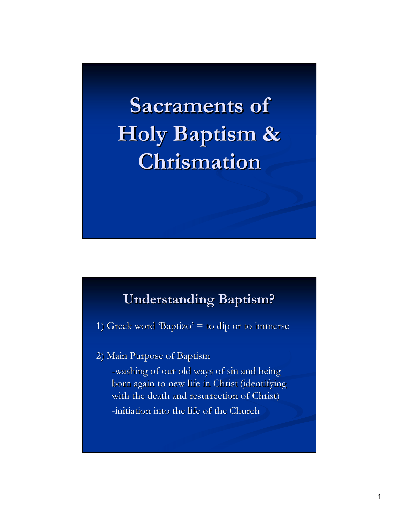**Sacraments of Holy Baptism & Chrismation**

## **Understanding Baptism?**

1) Greek word 'Baptizo'  $=$  to dip or to immerse

2) Main Purpose of Baptism

-washing of our old ways of sin and being born again to new life in Christ (identifying with the death and resurrection of Christ) -initiation into the life of the Church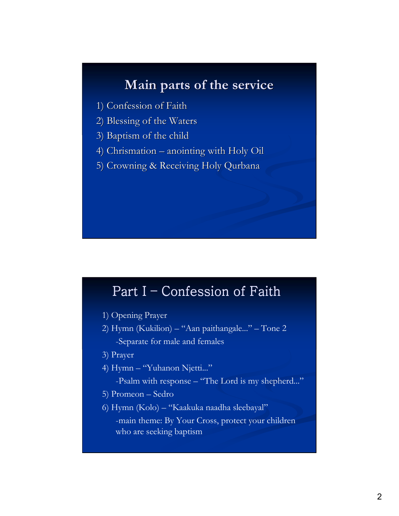## **Main parts of the service**

- 1) Confession of Faith
- 2) Blessing of the Waters
- 3) Baptism of the child
- 4) Chrismation anointing with Holy Oil
- 5) Crowning & Receiving Holy Qurbana

## Part I – Confession of Faith

- 1) Opening Prayer
- 2) Hymn (Kukilion) "Aan paithangale..." Tone 2 -Separate for male and females
- 3) Prayer
- 4) Hymn "Yuhanon Njetti..."

-Psalm with response – "The Lord is my shepherd..."

- 5) Promeon Sedro
- 6) Hymn (Kolo) "Kaakuka naadha sleebayal" -main theme: By Your Cross, protect your children who are seeking baptism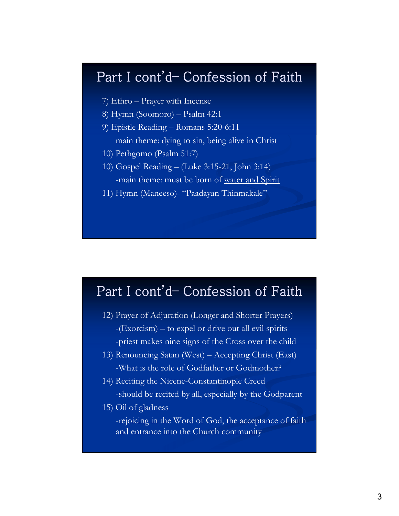# Part I cont'd- Confession of Faith

- 7) Ethro Prayer with Incense
- 8) Hymn (Soomoro) Psalm 42:1
- 9) Epistle Reading Romans 5:20-6:11

main theme: dying to sin, being alive in Christ

- 10) Pethgomo (Psalm 51:7)
- 10) Gospel Reading (Luke 3:15-21, John 3:14) -main theme: must be born of water and Spirit
	-
- 11) Hymn (Maneeso)- "Paadayan Thinmakale"

## Part I cont'd- Confession of Faith

- 12) Prayer of Adjuration (Longer and Shorter Prayers) -(Exorcism) – to expel or drive out all evil spirits -priest makes nine signs of the Cross over the child
- 13) Renouncing Satan (West) Accepting Christ (East) -What is the role of Godfather or Godmother?
- 14) Reciting the Nicene-Constantinople Creed -should be recited by all, especially by the Godparent
- 15) Oil of gladness

-rejoicing in the Word of God, the acceptance of faith and entrance into the Church community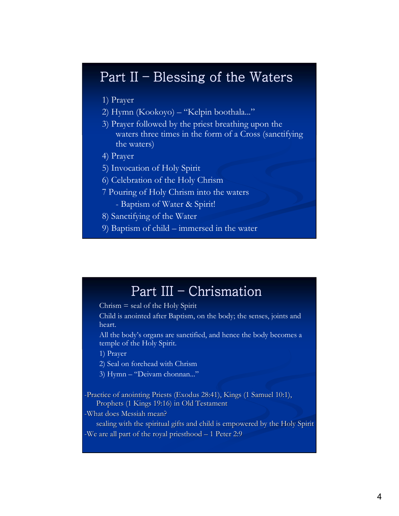### Part II – Blessing of the Waters

- 1) Prayer
- 2) Hymn (Kookoyo) "Kelpin boothala..."
- 3) Prayer followed by the priest breathing upon the waters three times in the form of a Cross (sanctifying the waters)
- 4) Prayer
- 5) Invocation of Holy Spirit
- 6) Celebration of the Holy Chrism
- 7 Pouring of Holy Chrism into the waters
	- Baptism of Water & Spirit!
- 8) Sanctifying of the Water
- 9) Baptism of child immersed in the water

#### Part III – Chrismation

 $Christian = seal of the Holy Spirit$ 

Child is anointed after Baptism, on the body; the senses, joints and heart.

All the body's organs are sanctified, and hence the body becomes a temple of the Holy Spirit.

1) Prayer

2) Seal on forehead with Chrism

3) Hymn – "Deivam chonnan..."

-Practice of anointing Priests (Exodus 28:41), Kings (1 Samuel 10:1), Prophets (1 Kings 19:16) in Old Testament

-What does Messiah mean?

sealing with the spiritual gifts and child is empowered by the Holy Spirit -We are all part of the royal priesthood – 1 Peter 2:9